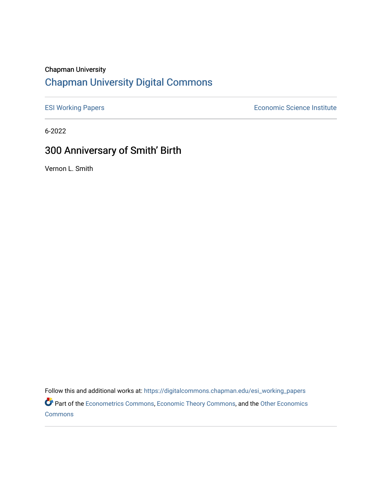#### Chapman University

## [Chapman University Digital Commons](https://digitalcommons.chapman.edu/)

[ESI Working Papers](https://digitalcommons.chapman.edu/esi_working_papers) **Example 2018** Economic Science Institute

6-2022

# 300 Anniversary of Smith' Birth

Vernon L. Smith

Follow this and additional works at: [https://digitalcommons.chapman.edu/esi\\_working\\_papers](https://digitalcommons.chapman.edu/esi_working_papers?utm_source=digitalcommons.chapman.edu%2Fesi_working_papers%2F370&utm_medium=PDF&utm_campaign=PDFCoverPages)

Part of the [Econometrics Commons](https://network.bepress.com/hgg/discipline/342?utm_source=digitalcommons.chapman.edu%2Fesi_working_papers%2F370&utm_medium=PDF&utm_campaign=PDFCoverPages), [Economic Theory Commons](https://network.bepress.com/hgg/discipline/344?utm_source=digitalcommons.chapman.edu%2Fesi_working_papers%2F370&utm_medium=PDF&utm_campaign=PDFCoverPages), and the [Other Economics](https://network.bepress.com/hgg/discipline/353?utm_source=digitalcommons.chapman.edu%2Fesi_working_papers%2F370&utm_medium=PDF&utm_campaign=PDFCoverPages)  **[Commons](https://network.bepress.com/hgg/discipline/353?utm_source=digitalcommons.chapman.edu%2Fesi_working_papers%2F370&utm_medium=PDF&utm_campaign=PDFCoverPages)**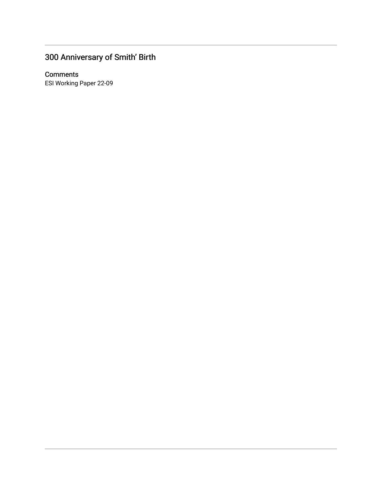# 300 Anniversary of Smith' Birth

#### **Comments**

ESI Working Paper 22-09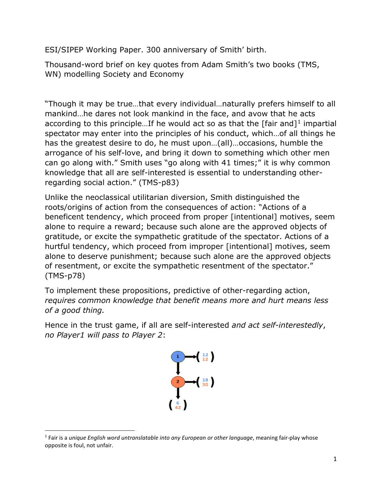ESI/SIPEP Working Paper. 300 anniversary of Smith' birth.

Thousand-word brief on key quotes from Adam Smith's two books (TMS, WN) modelling Society and Economy

"Though it may be true…that every individual…naturally prefers himself to all mankind…he dares not look mankind in the face, and avow that he acts according to this principle...If he would act so as that the  $[fair and]$ <sup>[1](#page-2-0)</sup> impartial spectator may enter into the principles of his conduct, which…of all things he has the greatest desire to do, he must upon…(all)…occasions, humble the arrogance of his self-love, and bring it down to something which other men can go along with." Smith uses "go along with 41 times;" it is why common knowledge that all are self-interested is essential to understanding otherregarding social action." (TMS-p83)

Unlike the neoclassical utilitarian diversion, Smith distinguished the roots/origins of action from the consequences of action: "Actions of a beneficent tendency, which proceed from proper [intentional] motives, seem alone to require a reward; because such alone are the approved objects of gratitude, or excite the sympathetic gratitude of the spectator. Actions of a hurtful tendency, which proceed from improper [intentional] motives, seem alone to deserve punishment; because such alone are the approved objects of resentment, or excite the sympathetic resentment of the spectator." (TMS-p78)

To implement these propositions, predictive of other-regarding action, *requires common knowledge that benefit means more and hurt means less of a good thing.*

Hence in the trust game, if all are self-interested *and act self-interestedly*, *no Player1 will pass to Player 2*:

<span id="page-2-0"></span>

 <sup>1</sup> Fair is a *unique English word untranslatable into any European or other language*, meaning fair-play whose opposite is foul, not unfair.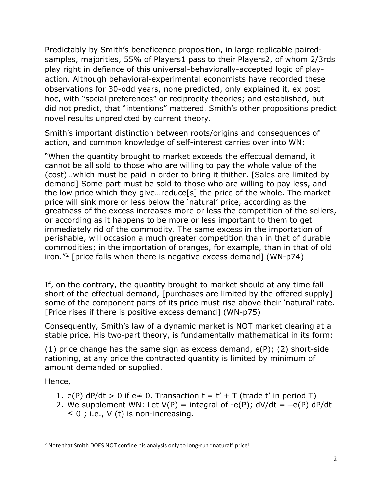Predictably by Smith's beneficence proposition, in large replicable pairedsamples, majorities, 55% of Players1 pass to their Players2, of whom 2/3rds play right in defiance of this universal-behaviorally-accepted logic of playaction. Although behavioral-experimental economists have recorded these observations for 30-odd years, none predicted, only explained it, ex post hoc, with "social preferences" or reciprocity theories; and established, but did not predict, that "intentions" mattered. Smith's other propositions predict novel results unpredicted by current theory.

Smith's important distinction between roots/origins and consequences of action, and common knowledge of self-interest carries over into WN:

"When the quantity brought to market exceeds the effectual demand, it cannot be all sold to those who are willing to pay the whole value of the (cost)…which must be paid in order to bring it thither. [Sales are limited by demand] Some part must be sold to those who are willing to pay less, and the low price which they give…reduce[s] the price of the whole. The market price will sink more or less below the 'natural' price, according as the greatness of the excess increases more or less the competition of the sellers, or according as it happens to be more or less important to them to get immediately rid of the commodity. The same excess in the importation of perishable, will occasion a much greater competition than in that of durable commodities; in the importation of oranges, for example, than in that of old iron."[2](#page-3-0) [price falls when there is negative excess demand] (WN-p74)

If, on the contrary, the quantity brought to market should at any time fall short of the effectual demand, [purchases are limited by the offered supply] some of the component parts of its price must rise above their 'natural' rate. [Price rises if there is positive excess demand] (WN-p75)

Consequently, Smith's law of a dynamic market is NOT market clearing at a stable price. His two-part theory, is fundamentally mathematical in its form:

(1) price change has the same sign as excess demand,  $e(P)$ ; (2) short-side rationing, at any price the contracted quantity is limited by minimum of amount demanded or supplied.

Hence,

- 1. e(P)  $dP/dt > 0$  if e $\neq 0$ . Transaction  $t = t' + T$  (trade t' in period T)
- 2. We supplement WN: Let  $V(P)$  = integral of -e(P);  $dV/dt = -e(P) dP/dt$  $\leq 0$ ; i.e., V (t) is non-increasing.

<span id="page-3-0"></span><sup>&</sup>lt;sup>2</sup> Note that Smith DOES NOT confine his analysis only to long-run "natural" price!